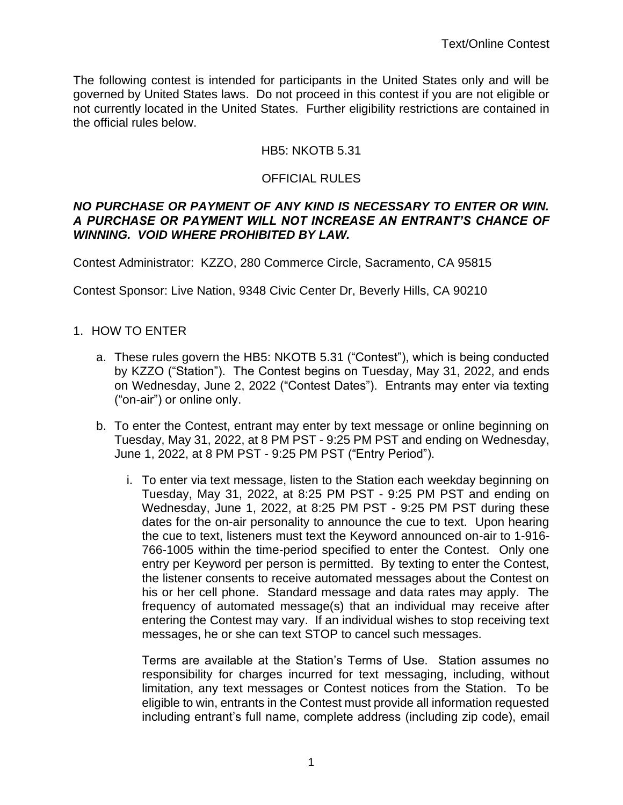The following contest is intended for participants in the United States only and will be governed by United States laws. Do not proceed in this contest if you are not eligible or not currently located in the United States. Further eligibility restrictions are contained in the official rules below.

#### HB5: NKOTB 5.31

#### OFFICIAL RULES

#### *NO PURCHASE OR PAYMENT OF ANY KIND IS NECESSARY TO ENTER OR WIN. A PURCHASE OR PAYMENT WILL NOT INCREASE AN ENTRANT'S CHANCE OF WINNING. VOID WHERE PROHIBITED BY LAW.*

Contest Administrator: KZZO, 280 Commerce Circle, Sacramento, CA 95815

Contest Sponsor: Live Nation, 9348 Civic Center Dr, Beverly Hills, CA 90210

- 1. HOW TO ENTER
	- a. These rules govern the HB5: NKOTB 5.31 ("Contest"), which is being conducted by KZZO ("Station"). The Contest begins on Tuesday, May 31, 2022, and ends on Wednesday, June 2, 2022 ("Contest Dates"). Entrants may enter via texting ("on-air") or online only.
	- b. To enter the Contest, entrant may enter by text message or online beginning on Tuesday, May 31, 2022, at 8 PM PST - 9:25 PM PST and ending on Wednesday, June 1, 2022, at 8 PM PST - 9:25 PM PST ("Entry Period").
		- i. To enter via text message, listen to the Station each weekday beginning on Tuesday, May 31, 2022, at 8:25 PM PST - 9:25 PM PST and ending on Wednesday, June 1, 2022, at 8:25 PM PST - 9:25 PM PST during these dates for the on-air personality to announce the cue to text. Upon hearing the cue to text, listeners must text the Keyword announced on-air to 1-916- 766-1005 within the time-period specified to enter the Contest. Only one entry per Keyword per person is permitted. By texting to enter the Contest, the listener consents to receive automated messages about the Contest on his or her cell phone. Standard message and data rates may apply. The frequency of automated message(s) that an individual may receive after entering the Contest may vary. If an individual wishes to stop receiving text messages, he or she can text STOP to cancel such messages.

Terms are available at the Station's Terms of Use. Station assumes no responsibility for charges incurred for text messaging, including, without limitation, any text messages or Contest notices from the Station. To be eligible to win, entrants in the Contest must provide all information requested including entrant's full name, complete address (including zip code), email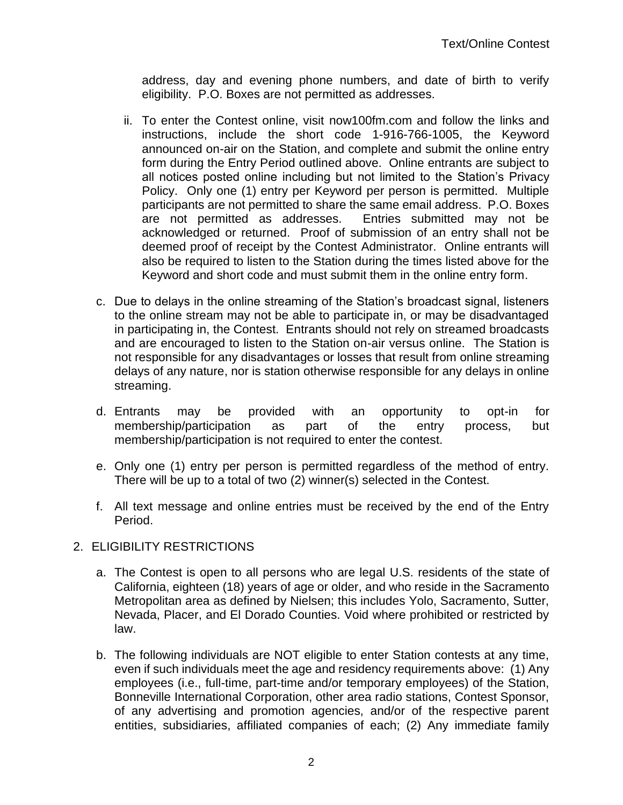address, day and evening phone numbers, and date of birth to verify eligibility. P.O. Boxes are not permitted as addresses.

- ii. To enter the Contest online, visit now100fm.com and follow the links and instructions, include the short code 1-916-766-1005, the Keyword announced on-air on the Station, and complete and submit the online entry form during the Entry Period outlined above. Online entrants are subject to all notices posted online including but not limited to the Station's Privacy Policy. Only one (1) entry per Keyword per person is permitted. Multiple participants are not permitted to share the same email address. P.O. Boxes are not permitted as addresses. Entries submitted may not be acknowledged or returned. Proof of submission of an entry shall not be deemed proof of receipt by the Contest Administrator. Online entrants will also be required to listen to the Station during the times listed above for the Keyword and short code and must submit them in the online entry form.
- c. Due to delays in the online streaming of the Station's broadcast signal, listeners to the online stream may not be able to participate in, or may be disadvantaged in participating in, the Contest. Entrants should not rely on streamed broadcasts and are encouraged to listen to the Station on-air versus online. The Station is not responsible for any disadvantages or losses that result from online streaming delays of any nature, nor is station otherwise responsible for any delays in online streaming.
- d. Entrants may be provided with an opportunity to opt-in for membership/participation as part of the entry process, but membership/participation is not required to enter the contest.
- e. Only one (1) entry per person is permitted regardless of the method of entry. There will be up to a total of two (2) winner(s) selected in the Contest.
- f. All text message and online entries must be received by the end of the Entry Period.

# 2. ELIGIBILITY RESTRICTIONS

- a. The Contest is open to all persons who are legal U.S. residents of the state of California, eighteen (18) years of age or older, and who reside in the Sacramento Metropolitan area as defined by Nielsen; this includes Yolo, Sacramento, Sutter, Nevada, Placer, and El Dorado Counties. Void where prohibited or restricted by law.
- b. The following individuals are NOT eligible to enter Station contests at any time, even if such individuals meet the age and residency requirements above: (1) Any employees (i.e., full-time, part-time and/or temporary employees) of the Station, Bonneville International Corporation, other area radio stations, Contest Sponsor, of any advertising and promotion agencies, and/or of the respective parent entities, subsidiaries, affiliated companies of each; (2) Any immediate family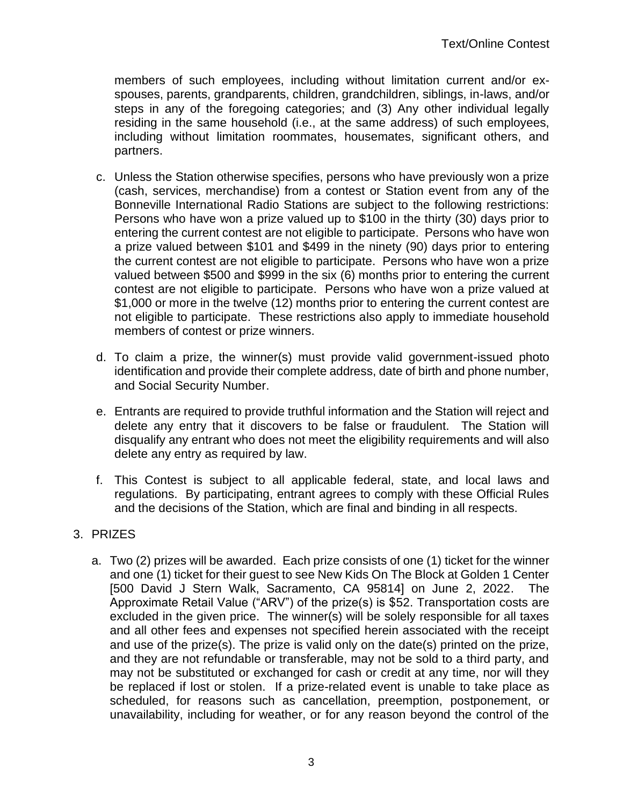members of such employees, including without limitation current and/or exspouses, parents, grandparents, children, grandchildren, siblings, in-laws, and/or steps in any of the foregoing categories; and (3) Any other individual legally residing in the same household (i.e., at the same address) of such employees, including without limitation roommates, housemates, significant others, and partners.

- c. Unless the Station otherwise specifies, persons who have previously won a prize (cash, services, merchandise) from a contest or Station event from any of the Bonneville International Radio Stations are subject to the following restrictions: Persons who have won a prize valued up to \$100 in the thirty (30) days prior to entering the current contest are not eligible to participate. Persons who have won a prize valued between \$101 and \$499 in the ninety (90) days prior to entering the current contest are not eligible to participate. Persons who have won a prize valued between \$500 and \$999 in the six (6) months prior to entering the current contest are not eligible to participate. Persons who have won a prize valued at \$1,000 or more in the twelve (12) months prior to entering the current contest are not eligible to participate. These restrictions also apply to immediate household members of contest or prize winners.
- d. To claim a prize, the winner(s) must provide valid government-issued photo identification and provide their complete address, date of birth and phone number, and Social Security Number.
- e. Entrants are required to provide truthful information and the Station will reject and delete any entry that it discovers to be false or fraudulent. The Station will disqualify any entrant who does not meet the eligibility requirements and will also delete any entry as required by law.
- f. This Contest is subject to all applicable federal, state, and local laws and regulations. By participating, entrant agrees to comply with these Official Rules and the decisions of the Station, which are final and binding in all respects.

# 3. PRIZES

a. Two (2) prizes will be awarded. Each prize consists of one (1) ticket for the winner and one (1) ticket for their guest to see New Kids On The Block at Golden 1 Center [500 David J Stern Walk, Sacramento, CA 95814] on June 2, 2022. The Approximate Retail Value ("ARV") of the prize(s) is \$52. Transportation costs are excluded in the given price. The winner(s) will be solely responsible for all taxes and all other fees and expenses not specified herein associated with the receipt and use of the prize(s). The prize is valid only on the date(s) printed on the prize, and they are not refundable or transferable, may not be sold to a third party, and may not be substituted or exchanged for cash or credit at any time, nor will they be replaced if lost or stolen. If a prize-related event is unable to take place as scheduled, for reasons such as cancellation, preemption, postponement, or unavailability, including for weather, or for any reason beyond the control of the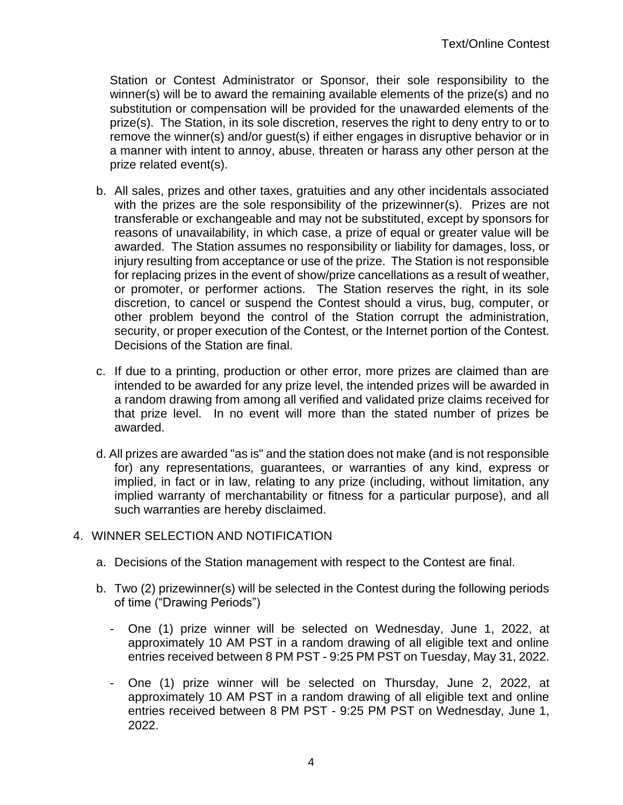Station or Contest Administrator or Sponsor, their sole responsibility to the winner(s) will be to award the remaining available elements of the prize(s) and no substitution or compensation will be provided for the unawarded elements of the prize(s). The Station, in its sole discretion, reserves the right to deny entry to or to remove the winner(s) and/or guest(s) if either engages in disruptive behavior or in a manner with intent to annoy, abuse, threaten or harass any other person at the prize related event(s).

- b. All sales, prizes and other taxes, gratuities and any other incidentals associated with the prizes are the sole responsibility of the prizewinner(s). Prizes are not transferable or exchangeable and may not be substituted, except by sponsors for reasons of unavailability, in which case, a prize of equal or greater value will be awarded. The Station assumes no responsibility or liability for damages, loss, or injury resulting from acceptance or use of the prize. The Station is not responsible for replacing prizes in the event of show/prize cancellations as a result of weather, or promoter, or performer actions. The Station reserves the right, in its sole discretion, to cancel or suspend the Contest should a virus, bug, computer, or other problem beyond the control of the Station corrupt the administration, security, or proper execution of the Contest, or the Internet portion of the Contest. Decisions of the Station are final.
- c. If due to a printing, production or other error, more prizes are claimed than are intended to be awarded for any prize level, the intended prizes will be awarded in a random drawing from among all verified and validated prize claims received for that prize level. In no event will more than the stated number of prizes be awarded.
- d. All prizes are awarded "as is" and the station does not make (and is not responsible for) any representations, guarantees, or warranties of any kind, express or implied, in fact or in law, relating to any prize (including, without limitation, any implied warranty of merchantability or fitness for a particular purpose), and all such warranties are hereby disclaimed.

# 4. WINNER SELECTION AND NOTIFICATION

- a. Decisions of the Station management with respect to the Contest are final.
- b. Two (2) prizewinner(s) will be selected in the Contest during the following periods of time ("Drawing Periods")
	- One (1) prize winner will be selected on Wednesday, June 1, 2022, at approximately 10 AM PST in a random drawing of all eligible text and online entries received between 8 PM PST - 9:25 PM PST on Tuesday, May 31, 2022.
	- One (1) prize winner will be selected on Thursday, June 2, 2022, at approximately 10 AM PST in a random drawing of all eligible text and online entries received between 8 PM PST - 9:25 PM PST on Wednesday, June 1, 2022.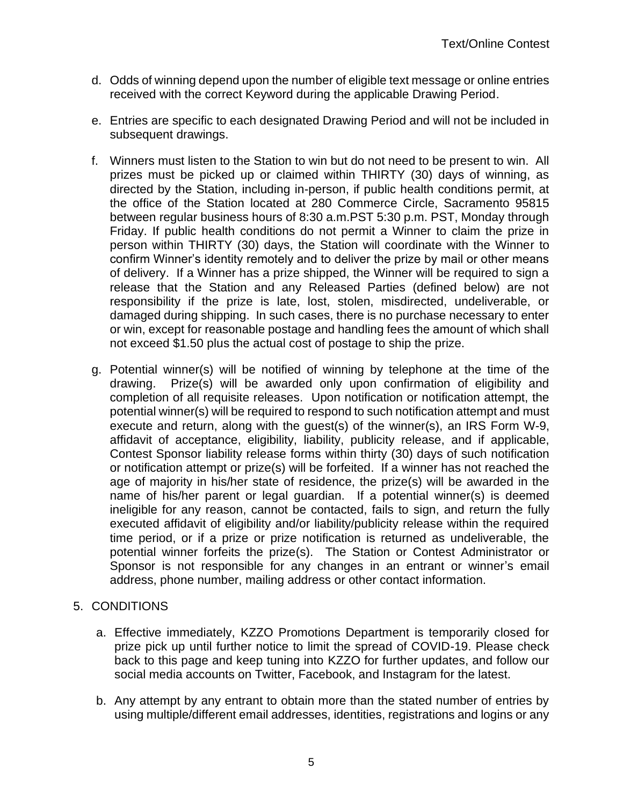- d. Odds of winning depend upon the number of eligible text message or online entries received with the correct Keyword during the applicable Drawing Period.
- e. Entries are specific to each designated Drawing Period and will not be included in subsequent drawings.
- f. Winners must listen to the Station to win but do not need to be present to win. All prizes must be picked up or claimed within THIRTY (30) days of winning, as directed by the Station, including in-person, if public health conditions permit, at the office of the Station located at 280 Commerce Circle, Sacramento 95815 between regular business hours of 8:30 a.m.PST 5:30 p.m. PST, Monday through Friday. If public health conditions do not permit a Winner to claim the prize in person within THIRTY (30) days, the Station will coordinate with the Winner to confirm Winner's identity remotely and to deliver the prize by mail or other means of delivery. If a Winner has a prize shipped, the Winner will be required to sign a release that the Station and any Released Parties (defined below) are not responsibility if the prize is late, lost, stolen, misdirected, undeliverable, or damaged during shipping. In such cases, there is no purchase necessary to enter or win, except for reasonable postage and handling fees the amount of which shall not exceed \$1.50 plus the actual cost of postage to ship the prize.
- g. Potential winner(s) will be notified of winning by telephone at the time of the drawing. Prize(s) will be awarded only upon confirmation of eligibility and completion of all requisite releases. Upon notification or notification attempt, the potential winner(s) will be required to respond to such notification attempt and must execute and return, along with the guest(s) of the winner(s), an IRS Form W-9, affidavit of acceptance, eligibility, liability, publicity release, and if applicable, Contest Sponsor liability release forms within thirty (30) days of such notification or notification attempt or prize(s) will be forfeited. If a winner has not reached the age of majority in his/her state of residence, the prize(s) will be awarded in the name of his/her parent or legal guardian. If a potential winner(s) is deemed ineligible for any reason, cannot be contacted, fails to sign, and return the fully executed affidavit of eligibility and/or liability/publicity release within the required time period, or if a prize or prize notification is returned as undeliverable, the potential winner forfeits the prize(s). The Station or Contest Administrator or Sponsor is not responsible for any changes in an entrant or winner's email address, phone number, mailing address or other contact information.
- 5. CONDITIONS
	- a. Effective immediately, KZZO Promotions Department is temporarily closed for prize pick up until further notice to limit the spread of COVID-19. Please check back to this page and keep tuning into KZZO for further updates, and follow our social media accounts on Twitter, Facebook, and Instagram for the latest.
	- b. Any attempt by any entrant to obtain more than the stated number of entries by using multiple/different email addresses, identities, registrations and logins or any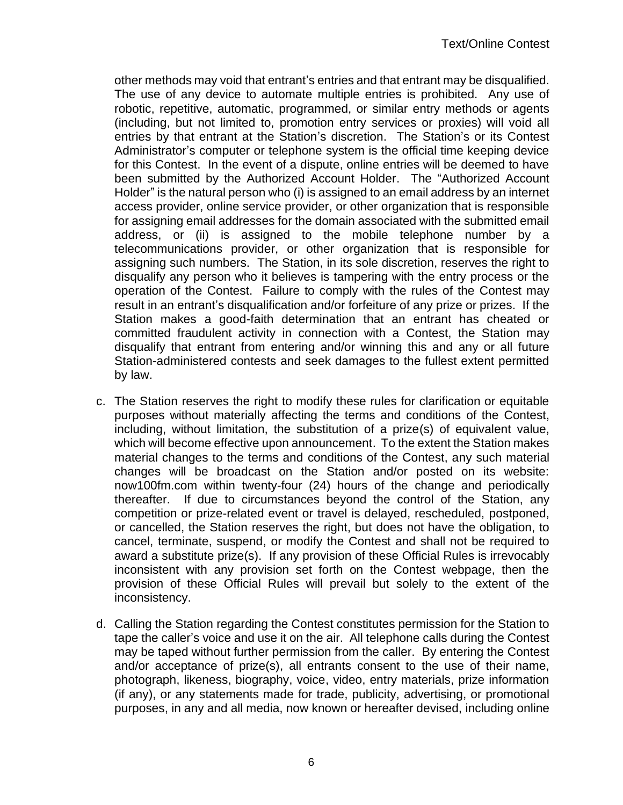other methods may void that entrant's entries and that entrant may be disqualified. The use of any device to automate multiple entries is prohibited. Any use of robotic, repetitive, automatic, programmed, or similar entry methods or agents (including, but not limited to, promotion entry services or proxies) will void all entries by that entrant at the Station's discretion. The Station's or its Contest Administrator's computer or telephone system is the official time keeping device for this Contest. In the event of a dispute, online entries will be deemed to have been submitted by the Authorized Account Holder. The "Authorized Account Holder" is the natural person who (i) is assigned to an email address by an internet access provider, online service provider, or other organization that is responsible for assigning email addresses for the domain associated with the submitted email address, or (ii) is assigned to the mobile telephone number by a telecommunications provider, or other organization that is responsible for assigning such numbers. The Station, in its sole discretion, reserves the right to disqualify any person who it believes is tampering with the entry process or the operation of the Contest. Failure to comply with the rules of the Contest may result in an entrant's disqualification and/or forfeiture of any prize or prizes. If the Station makes a good-faith determination that an entrant has cheated or committed fraudulent activity in connection with a Contest, the Station may disqualify that entrant from entering and/or winning this and any or all future Station-administered contests and seek damages to the fullest extent permitted by law.

- c. The Station reserves the right to modify these rules for clarification or equitable purposes without materially affecting the terms and conditions of the Contest, including, without limitation, the substitution of a prize(s) of equivalent value, which will become effective upon announcement. To the extent the Station makes material changes to the terms and conditions of the Contest, any such material changes will be broadcast on the Station and/or posted on its website: now100fm.com within twenty-four (24) hours of the change and periodically thereafter. If due to circumstances beyond the control of the Station, any competition or prize-related event or travel is delayed, rescheduled, postponed, or cancelled, the Station reserves the right, but does not have the obligation, to cancel, terminate, suspend, or modify the Contest and shall not be required to award a substitute prize(s). If any provision of these Official Rules is irrevocably inconsistent with any provision set forth on the Contest webpage, then the provision of these Official Rules will prevail but solely to the extent of the inconsistency.
- d. Calling the Station regarding the Contest constitutes permission for the Station to tape the caller's voice and use it on the air. All telephone calls during the Contest may be taped without further permission from the caller. By entering the Contest and/or acceptance of prize(s), all entrants consent to the use of their name, photograph, likeness, biography, voice, video, entry materials, prize information (if any), or any statements made for trade, publicity, advertising, or promotional purposes, in any and all media, now known or hereafter devised, including online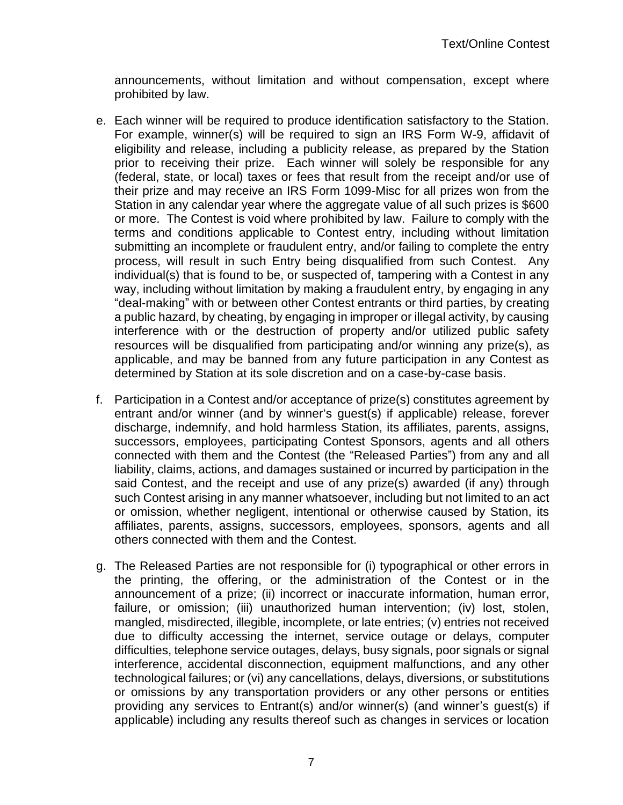announcements, without limitation and without compensation, except where prohibited by law.

- e. Each winner will be required to produce identification satisfactory to the Station. For example, winner(s) will be required to sign an IRS Form W-9, affidavit of eligibility and release, including a publicity release, as prepared by the Station prior to receiving their prize. Each winner will solely be responsible for any (federal, state, or local) taxes or fees that result from the receipt and/or use of their prize and may receive an IRS Form 1099-Misc for all prizes won from the Station in any calendar year where the aggregate value of all such prizes is \$600 or more. The Contest is void where prohibited by law. Failure to comply with the terms and conditions applicable to Contest entry, including without limitation submitting an incomplete or fraudulent entry, and/or failing to complete the entry process, will result in such Entry being disqualified from such Contest. Any individual(s) that is found to be, or suspected of, tampering with a Contest in any way, including without limitation by making a fraudulent entry, by engaging in any "deal-making" with or between other Contest entrants or third parties, by creating a public hazard, by cheating, by engaging in improper or illegal activity, by causing interference with or the destruction of property and/or utilized public safety resources will be disqualified from participating and/or winning any prize(s), as applicable, and may be banned from any future participation in any Contest as determined by Station at its sole discretion and on a case-by-case basis.
- f. Participation in a Contest and/or acceptance of prize(s) constitutes agreement by entrant and/or winner (and by winner's guest(s) if applicable) release, forever discharge, indemnify, and hold harmless Station, its affiliates, parents, assigns, successors, employees, participating Contest Sponsors, agents and all others connected with them and the Contest (the "Released Parties") from any and all liability, claims, actions, and damages sustained or incurred by participation in the said Contest, and the receipt and use of any prize(s) awarded (if any) through such Contest arising in any manner whatsoever, including but not limited to an act or omission, whether negligent, intentional or otherwise caused by Station, its affiliates, parents, assigns, successors, employees, sponsors, agents and all others connected with them and the Contest.
- g. The Released Parties are not responsible for (i) typographical or other errors in the printing, the offering, or the administration of the Contest or in the announcement of a prize; (ii) incorrect or inaccurate information, human error, failure, or omission; (iii) unauthorized human intervention; (iv) lost, stolen, mangled, misdirected, illegible, incomplete, or late entries; (v) entries not received due to difficulty accessing the internet, service outage or delays, computer difficulties, telephone service outages, delays, busy signals, poor signals or signal interference, accidental disconnection, equipment malfunctions, and any other technological failures; or (vi) any cancellations, delays, diversions, or substitutions or omissions by any transportation providers or any other persons or entities providing any services to Entrant(s) and/or winner(s) (and winner's guest(s) if applicable) including any results thereof such as changes in services or location